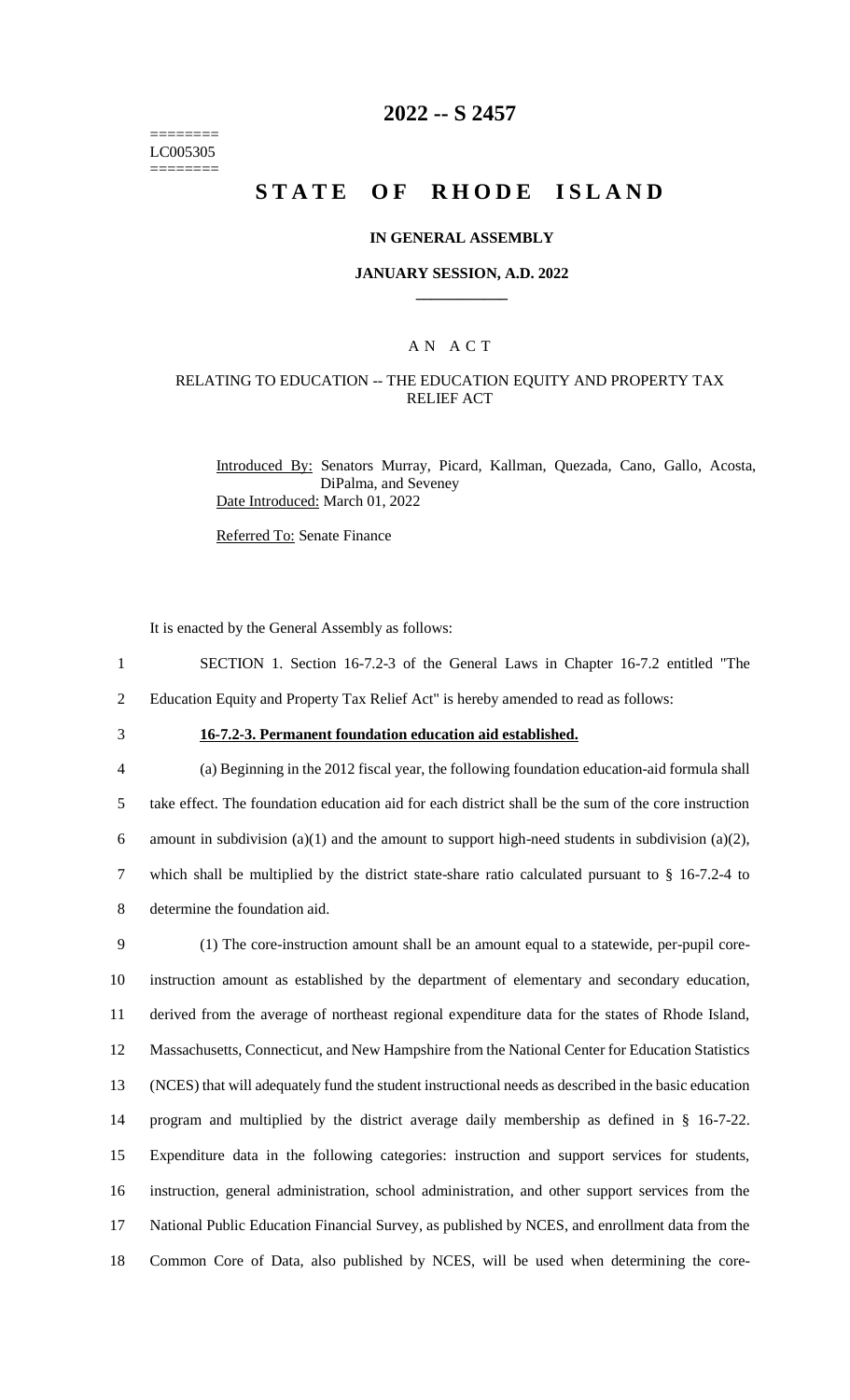======== LC005305 ========

## **2022 -- S 2457**

# **STATE OF RHODE ISLAND**

### **IN GENERAL ASSEMBLY**

#### **JANUARY SESSION, A.D. 2022 \_\_\_\_\_\_\_\_\_\_\_\_**

### A N A C T

### RELATING TO EDUCATION -- THE EDUCATION EQUITY AND PROPERTY TAX RELIEF ACT

Introduced By: Senators Murray, Picard, Kallman, Quezada, Cano, Gallo, Acosta, DiPalma, and Seveney Date Introduced: March 01, 2022

Referred To: Senate Finance

It is enacted by the General Assembly as follows:

- 1 SECTION 1. Section 16-7.2-3 of the General Laws in Chapter 16-7.2 entitled "The 2 Education Equity and Property Tax Relief Act" is hereby amended to read as follows:
- 
- 

## 3 **16-7.2-3. Permanent foundation education aid established.**

 (a) Beginning in the 2012 fiscal year, the following foundation education-aid formula shall take effect. The foundation education aid for each district shall be the sum of the core instruction 6 amount in subdivision (a)(1) and the amount to support high-need students in subdivision (a)(2), which shall be multiplied by the district state-share ratio calculated pursuant to § 16-7.2-4 to determine the foundation aid.

 (1) The core-instruction amount shall be an amount equal to a statewide, per-pupil core- instruction amount as established by the department of elementary and secondary education, derived from the average of northeast regional expenditure data for the states of Rhode Island, Massachusetts, Connecticut, and New Hampshire from the National Center for Education Statistics (NCES) that will adequately fund the student instructional needs as described in the basic education program and multiplied by the district average daily membership as defined in § 16-7-22. Expenditure data in the following categories: instruction and support services for students, instruction, general administration, school administration, and other support services from the National Public Education Financial Survey, as published by NCES, and enrollment data from the Common Core of Data, also published by NCES, will be used when determining the core-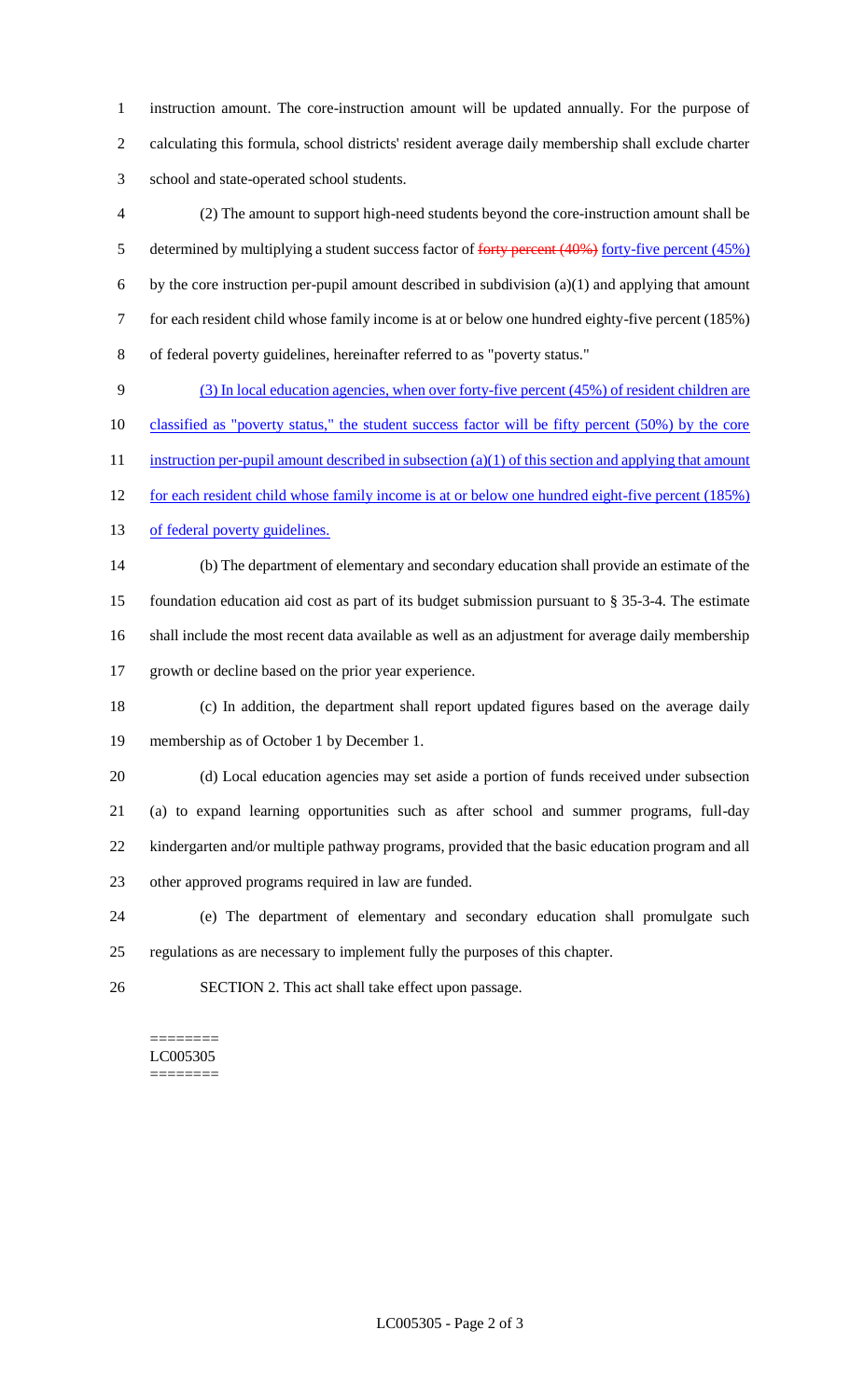instruction amount. The core-instruction amount will be updated annually. For the purpose of calculating this formula, school districts' resident average daily membership shall exclude charter school and state-operated school students.

 (2) The amount to support high-need students beyond the core-instruction amount shall be 5 determined by multiplying a student success factor of forty percent (40%) forty-five percent (45%) by the core instruction per-pupil amount described in subdivision (a)(1) and applying that amount for each resident child whose family income is at or below one hundred eighty-five percent (185%) of federal poverty guidelines, hereinafter referred to as "poverty status."

 (3) In local education agencies, when over forty-five percent (45%) of resident children are 10 classified as "poverty status," the student success factor will be fifty percent (50%) by the core 11 instruction per-pupil amount described in subsection (a)(1) of this section and applying that amount for each resident child whose family income is at or below one hundred eight-five percent (185%) 13 of federal poverty guidelines. (b) The department of elementary and secondary education shall provide an estimate of the foundation education aid cost as part of its budget submission pursuant to § 35-3-4. The estimate shall include the most recent data available as well as an adjustment for average daily membership

growth or decline based on the prior year experience.

 (c) In addition, the department shall report updated figures based on the average daily membership as of October 1 by December 1.

 (d) Local education agencies may set aside a portion of funds received under subsection (a) to expand learning opportunities such as after school and summer programs, full-day kindergarten and/or multiple pathway programs, provided that the basic education program and all other approved programs required in law are funded.

 (e) The department of elementary and secondary education shall promulgate such regulations as are necessary to implement fully the purposes of this chapter.

SECTION 2. This act shall take effect upon passage.

======== LC005305 ========